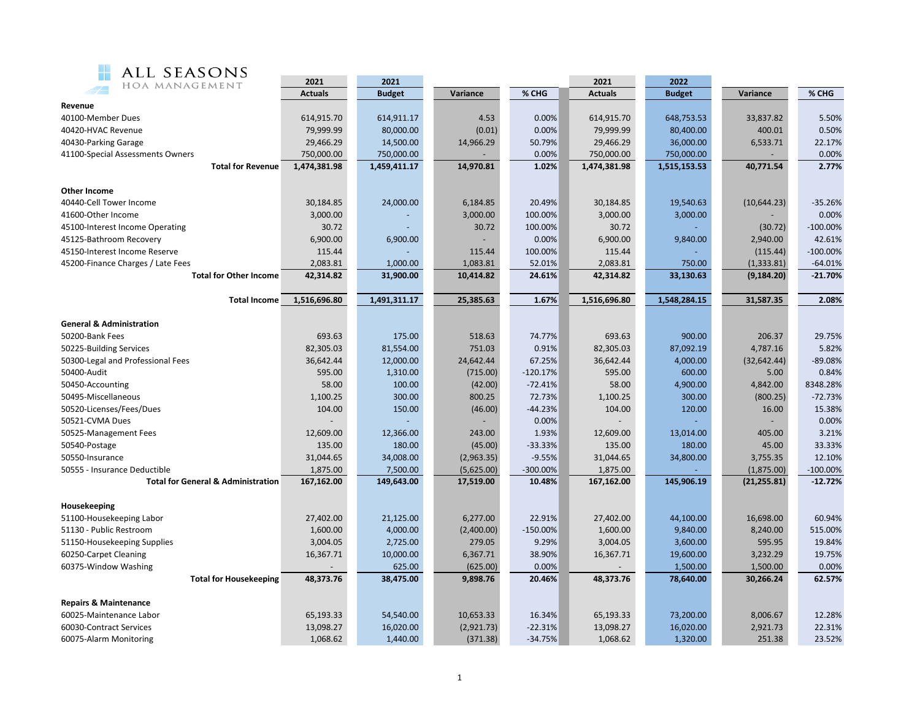

| ALL SEASONS                                   |                        |               |            |             |                        |               |              |             |  |
|-----------------------------------------------|------------------------|---------------|------------|-------------|------------------------|---------------|--------------|-------------|--|
| HOA MANAGEMENT                                | 2021<br><b>Actuals</b> | 2021          |            | % CHG       | 2021<br><b>Actuals</b> | 2022          |              | % CHG       |  |
| Revenue                                       |                        | <b>Budget</b> | Variance   |             |                        | <b>Budget</b> | Variance     |             |  |
| 40100-Member Dues                             | 614,915.70             | 614,911.17    | 4.53       | 0.00%       | 614,915.70             | 648,753.53    | 33,837.82    | 5.50%       |  |
| 40420-HVAC Revenue                            | 79,999.99              | 80,000.00     | (0.01)     | 0.00%       | 79,999.99              | 80,400.00     | 400.01       | 0.50%       |  |
| 40430-Parking Garage                          | 29,466.29              | 14,500.00     | 14,966.29  | 50.79%      | 29,466.29              | 36,000.00     | 6,533.71     | 22.17%      |  |
| 41100-Special Assessments Owners              | 750,000.00             | 750,000.00    |            | 0.00%       | 750,000.00             | 750,000.00    |              | 0.00%       |  |
| <b>Total for Revenue</b>                      | 1,474,381.98           | 1,459,411.17  | 14,970.81  | 1.02%       | 1,474,381.98           | 1,515,153.53  | 40,771.54    | 2.77%       |  |
|                                               |                        |               |            |             |                        |               |              |             |  |
| Other Income                                  |                        |               |            |             |                        |               |              |             |  |
| 40440-Cell Tower Income                       | 30,184.85              | 24,000.00     | 6,184.85   | 20.49%      | 30,184.85              | 19,540.63     | (10, 644.23) | $-35.26%$   |  |
| 41600-Other Income                            | 3,000.00               |               | 3,000.00   | 100.00%     | 3,000.00               | 3,000.00      |              | 0.00%       |  |
| 45100-Interest Income Operating               | 30.72                  |               | 30.72      | 100.00%     | 30.72                  |               | (30.72)      | $-100.00\%$ |  |
| 45125-Bathroom Recovery                       | 6,900.00               | 6,900.00      |            | 0.00%       | 6,900.00               | 9,840.00      | 2,940.00     | 42.61%      |  |
| 45150-Interest Income Reserve                 | 115.44                 |               | 115.44     | 100.00%     | 115.44                 |               | (115.44)     | $-100.00%$  |  |
| 45200-Finance Charges / Late Fees             | 2,083.81               | 1,000.00      | 1,083.81   | 52.01%      | 2,083.81               | 750.00        | (1, 333.81)  | $-64.01%$   |  |
| <b>Total for Other Income</b>                 | 42,314.82              | 31,900.00     | 10,414.82  | 24.61%      |                        | 33,130.63     | (9, 184.20)  | $-21.70%$   |  |
|                                               |                        |               |            |             |                        |               |              |             |  |
| <b>Total Income</b>                           | 1,516,696.80           | 1,491,311.17  | 25,385.63  | 1.67%       | 1,516,696.80           | 1,548,284.15  | 31,587.35    | 2.08%       |  |
|                                               |                        |               |            |             |                        |               |              |             |  |
| <b>General &amp; Administration</b>           |                        |               |            |             |                        |               |              |             |  |
| 50200-Bank Fees                               | 693.63                 | 175.00        | 518.63     | 74.77%      | 693.63                 | 900.00        | 206.37       | 29.75%      |  |
| 50225-Building Services                       | 82,305.03              | 81,554.00     | 751.03     | 0.91%       | 82,305.03              | 87,092.19     | 4,787.16     | 5.82%       |  |
| 50300-Legal and Professional Fees             | 36,642.44              | 12,000.00     | 24,642.44  | 67.25%      | 36,642.44              | 4,000.00      | (32, 642.44) | $-89.08%$   |  |
| 50400-Audit                                   | 595.00                 | 1,310.00      | (715.00)   | $-120.17%$  | 595.00                 | 600.00        | 5.00         | 0.84%       |  |
| 50450-Accounting                              | 58.00                  | 100.00        | (42.00)    | $-72.41%$   | 58.00                  | 4,900.00      | 4,842.00     | 8348.28%    |  |
| 50495-Miscellaneous                           | 1,100.25               | 300.00        | 800.25     | 72.73%      | 1,100.25               | 300.00        | (800.25)     | $-72.73%$   |  |
| 50520-Licenses/Fees/Dues                      | 104.00                 | 150.00        | (46.00)    | $-44.23%$   | 104.00                 | 120.00        | 16.00        | 15.38%      |  |
| 50521-CVMA Dues                               |                        |               |            | 0.00%       |                        |               |              | 0.00%       |  |
| 50525-Management Fees                         | 12,609.00              | 12,366.00     | 243.00     | 1.93%       | 12,609.00              | 13,014.00     | 405.00       | 3.21%       |  |
| 50540-Postage                                 | 135.00                 | 180.00        | (45.00)    | $-33.33%$   | 135.00                 | 180.00        | 45.00        | 33.33%      |  |
| 50550-Insurance                               | 31,044.65              | 34,008.00     | (2,963.35) | $-9.55%$    | 31,044.65              | 34,800.00     | 3,755.35     | 12.10%      |  |
| 50555 - Insurance Deductible                  | 1,875.00               | 7,500.00      | (5,625.00) | -300.00%    | 1,875.00               |               | (1,875.00)   | $-100.00\%$ |  |
| <b>Total for General &amp; Administration</b> | 167,162.00             | 149,643.00    | 17,519.00  | 10.48%      | 167,162.00             | 145,906.19    | (21, 255.81) | $-12.72%$   |  |
| Housekeeping                                  |                        |               |            |             |                        |               |              |             |  |
| 51100-Housekeeping Labor                      | 27,402.00              | 21,125.00     | 6,277.00   | 22.91%      | 27,402.00              | 44,100.00     | 16,698.00    | 60.94%      |  |
| 51130 - Public Restroom                       | 1,600.00               | 4,000.00      | (2,400.00) | $-150.00\%$ | 1,600.00               | 9,840.00      | 8,240.00     | 515.00%     |  |
| 51150-Housekeeping Supplies                   | 3,004.05               | 2,725.00      | 279.05     | 9.29%       | 3,004.05               | 3,600.00      | 595.95       | 19.84%      |  |
| 60250-Carpet Cleaning                         | 16,367.71              | 10,000.00     | 6,367.71   | 38.90%      | 16,367.71              | 19,600.00     | 3,232.29     | 19.75%      |  |
| 60375-Window Washing                          |                        | 625.00        | (625.00)   | 0.00%       |                        | 1,500.00      | 1,500.00     | 0.00%       |  |
| <b>Total for Housekeeping</b>                 | 48,373.76              | 38,475.00     | 9,898.76   | 20.46%      | 48,373.76              | 78,640.00     | 30,266.24    | 62.57%      |  |
|                                               |                        |               |            |             |                        |               |              |             |  |
| <b>Repairs &amp; Maintenance</b>              |                        |               |            |             |                        |               |              |             |  |
| 60025-Maintenance Labor                       | 65,193.33              | 54,540.00     | 10,653.33  | 16.34%      | 65,193.33              | 73,200.00     | 8,006.67     | 12.28%      |  |
| 60030-Contract Services                       | 13,098.27              | 16,020.00     | (2,921.73) | $-22.31%$   | 13,098.27              | 16,020.00     | 2,921.73     | 22.31%      |  |
| 60075-Alarm Monitoring                        | 1,068.62               | 1,440.00      | (371.38)   | $-34.75%$   | 1,068.62               | 1,320.00      | 251.38       | 23.52%      |  |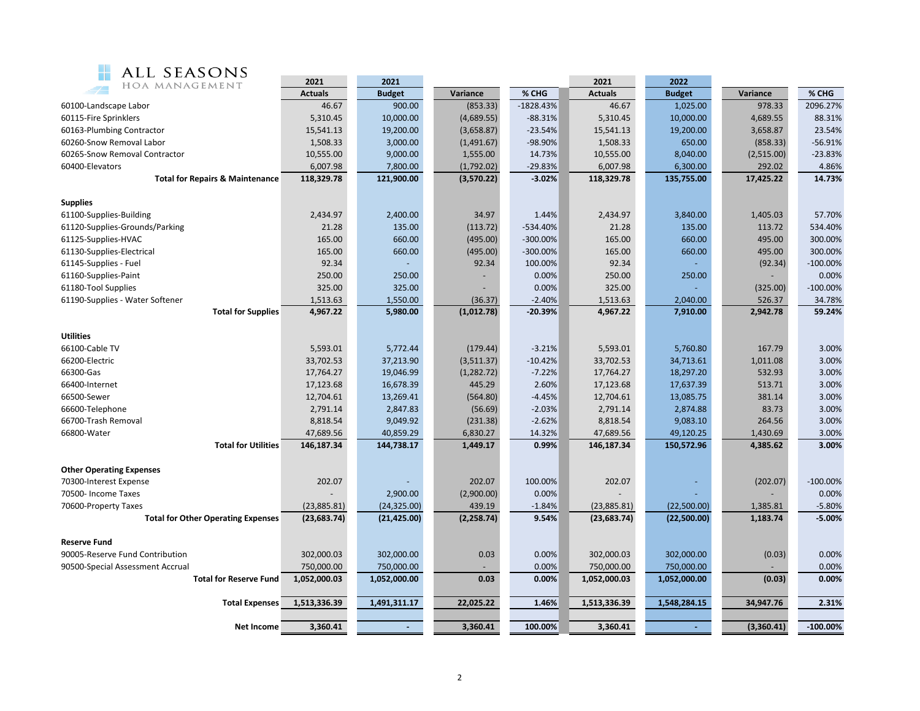

| ALL SEASONS<br><b>MAG</b>                                 |                       |                      |                        |                      |                       |                      |                      |                      |  |
|-----------------------------------------------------------|-----------------------|----------------------|------------------------|----------------------|-----------------------|----------------------|----------------------|----------------------|--|
| HOA MANAGEMENT                                            | 2021                  | 2021                 |                        |                      | 2021                  | 2022                 |                      |                      |  |
|                                                           | <b>Actuals</b>        | <b>Budget</b>        | Variance               | % CHG                | <b>Actuals</b>        | <b>Budget</b>        | Variance             | % CHG                |  |
| 60100-Landscape Labor                                     | 46.67                 | 900.00               | (853.33)               | $-1828.43%$          | 46.67                 | 1,025.00             | 978.33               | 2096.27%             |  |
| 60115-Fire Sprinklers                                     | 5,310.45              | 10,000.00            | (4,689.55)             | $-88.31%$            | 5,310.45              | 10,000.00            | 4,689.55             | 88.31%<br>23.54%     |  |
| 60163-Plumbing Contractor                                 | 15,541.13             | 19,200.00            | (3,658.87)             | $-23.54%$<br>-98.90% | 15,541.13             | 19,200.00<br>650.00  | 3,658.87             | $-56.91%$            |  |
| 60260-Snow Removal Labor<br>60265-Snow Removal Contractor | 1,508.33              | 3,000.00             | (1,491.67)             |                      | 1,508.33              |                      | (858.33)             |                      |  |
| 60400-Elevators                                           | 10,555.00<br>6,007.98 | 9,000.00<br>7,800.00 | 1,555.00<br>(1,792.02) | 14.73%<br>$-29.83%$  | 10,555.00<br>6,007.98 | 8,040.00<br>6,300.00 | (2,515.00)<br>292.02 | $-23.83%$<br>4.86%   |  |
| <b>Total for Repairs &amp; Maintenance</b>                | 118,329.78            | 121,900.00           | (3,570.22)             | $-3.02%$             | 118,329.78            | 135,755.00           | 17,425.22            | 14.73%               |  |
|                                                           |                       |                      |                        |                      |                       |                      |                      |                      |  |
| <b>Supplies</b>                                           |                       |                      |                        |                      |                       |                      |                      |                      |  |
| 61100-Supplies-Building                                   | 2,434.97              | 2,400.00             | 34.97                  | 1.44%                | 2,434.97              | 3,840.00             | 1,405.03             | 57.70%               |  |
| 61120-Supplies-Grounds/Parking                            | 21.28                 | 135.00               | (113.72)               | -534.40%             | 21.28                 | 135.00               | 113.72               | 534.40%              |  |
| 61125-Supplies-HVAC                                       | 165.00                | 660.00               | (495.00)               | $-300.00\%$          | 165.00                | 660.00               | 495.00               | 300.00%              |  |
| 61130-Supplies-Electrical                                 | 165.00                | 660.00               | (495.00)               | $-300.00\%$          | 165.00                | 660.00               | 495.00               | 300.00%              |  |
| 61145-Supplies - Fuel                                     | 92.34                 |                      | 92.34                  | 100.00%              | 92.34                 |                      | (92.34)              | $-100.00%$           |  |
| 61160-Supplies-Paint                                      | 250.00                | 250.00               |                        | 0.00%                | 250.00                | 250.00               |                      | 0.00%                |  |
| 61180-Tool Supplies                                       | 325.00                | 325.00               |                        | 0.00%                | 325.00                |                      | (325.00)             | $-100.00%$           |  |
| 61190-Supplies - Water Softener                           | 1,513.63              | 1,550.00             | (36.37)                | $-2.40%$             | 1,513.63              | 2,040.00             | 526.37               | 34.78%               |  |
| <b>Total for Supplies</b>                                 | 4,967.22              | 5,980.00             | (1,012.78)             | $-20.39%$            | 4,967.22              | 7,910.00             | 2,942.78             | 59.24%               |  |
| <b>Utilities</b>                                          |                       |                      |                        |                      |                       |                      |                      |                      |  |
| 66100-Cable TV                                            | 5,593.01              | 5,772.44             | (179.44)               | $-3.21%$             | 5,593.01              | 5,760.80             | 167.79               | 3.00%                |  |
| 66200-Electric                                            | 33,702.53             | 37,213.90            | (3,511.37)             | $-10.42%$            | 33,702.53             | 34,713.61            | 1,011.08             | 3.00%                |  |
| 66300-Gas                                                 | 17,764.27             | 19,046.99            | (1, 282.72)            | $-7.22%$             | 17,764.27             | 18,297.20            | 532.93               | 3.00%                |  |
| 66400-Internet                                            | 17,123.68             | 16,678.39            | 445.29                 | 2.60%                | 17,123.68             | 17,637.39            | 513.71               | 3.00%                |  |
| 66500-Sewer                                               | 12,704.61             | 13,269.41            | (564.80)               | $-4.45%$             | 12,704.61             | 13,085.75            | 381.14               | 3.00%                |  |
| 66600-Telephone                                           | 2,791.14              | 2,847.83             | (56.69)                | $-2.03%$             | 2,791.14              | 2,874.88             | 83.73                | 3.00%                |  |
| 66700-Trash Removal                                       | 8,818.54              | 9,049.92             | (231.38)               | $-2.62%$             | 8,818.54              | 9,083.10             | 264.56               | 3.00%                |  |
| 66800-Water                                               | 47,689.56             | 40,859.29            | 6,830.27               | 14.32%               | 47,689.56             | 49,120.25            | 1,430.69             | 3.00%                |  |
| <b>Total for Utilities</b>                                | 146,187.34            | 144,738.17           | 1,449.17               | 0.99%                | 146,187.34            | 150,572.96           | 4,385.62             | 3.00%                |  |
|                                                           |                       |                      |                        |                      |                       |                      |                      |                      |  |
| <b>Other Operating Expenses</b>                           |                       |                      |                        |                      |                       |                      |                      |                      |  |
| 70300-Interest Expense                                    | 202.07                |                      | 202.07                 | 100.00%              | 202.07                |                      | (202.07)             | $-100.00%$           |  |
| 70500- Income Taxes                                       |                       | 2,900.00             | (2,900.00)             | 0.00%                |                       |                      |                      | 0.00%                |  |
| 70600-Property Taxes                                      | (23,885.81)           | (24, 325.00)         | 439.19                 | $-1.84%$             | (23,885.81)           | (22,500.00)          | 1,385.81             | $-5.80%$<br>$-5.00%$ |  |
| <b>Total for Other Operating Expenses</b>                 | (23, 683.74)          | (21, 425.00)         | (2, 258.74)            | 9.54%                | (23, 683.74)          | (22,500.00)          | 1,183.74             |                      |  |
| <b>Reserve Fund</b>                                       |                       |                      |                        |                      |                       |                      |                      |                      |  |
| 90005-Reserve Fund Contribution                           | 302,000.03            | 302,000.00           | 0.03                   | 0.00%                | 302,000.03            | 302,000.00           | (0.03)               | 0.00%                |  |
| 90500-Special Assessment Accrual                          | 750,000.00            | 750,000.00           |                        | 0.00%                | 750,000.00            | 750,000.00           |                      | 0.00%                |  |
| <b>Total for Reserve Fund</b>                             | 1,052,000.03          | 1,052,000.00         | 0.03                   | 0.00%                | 1,052,000.03          | 1,052,000.00         | (0.03)               | 0.00%                |  |
|                                                           |                       |                      |                        |                      |                       |                      |                      |                      |  |
| <b>Total Expenses</b>                                     | 1,513,336.39          | 1,491,311.17         | 22,025.22              | 1.46%                | 1,513,336.39          | 1,548,284.15         | 34,947.76            | 2.31%                |  |
| <b>Net Income</b>                                         | 3,360.41              |                      | 3,360.41               | 100.00%              | 3,360.41              |                      | (3,360.41)           | $-100.00%$           |  |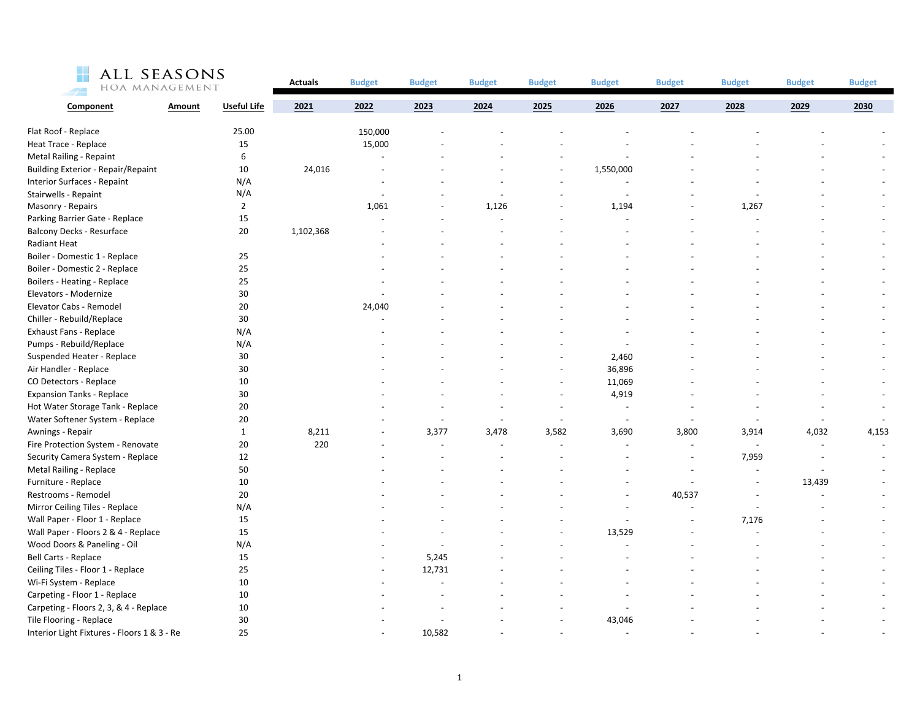